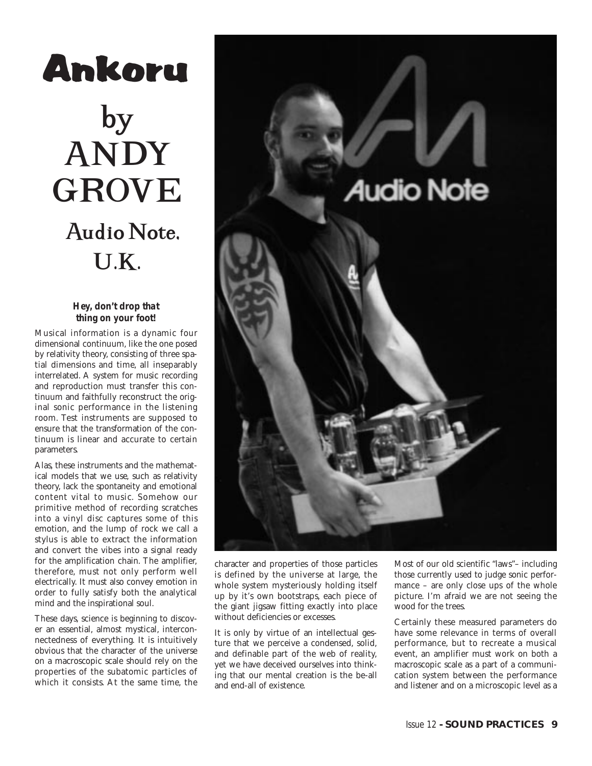## Ankoru by ANDY GROVE Audio Note, U.K.

## *Hey, don't drop that thing on your foot!*

Musical information is a dynamic four dimensional continuum, like the one posed by relativity theory, consisting of three spatial dimensions and time, all inseparably interrelated. A system for music recording and reproduction must transfer this continuum and faithfully reconstruct the original sonic performance in the listening room. Test instruments are supposed to ensure that the transformation of the continuum is linear and accurate to certain parameters.

Alas, these instruments and the mathematical models that we use, such as relativity theory, lack the spontaneity and emotional content vital to music. Somehow our primitive method of recording scratches into a vinyl disc captures some of this emotion, and the lump of rock we call a stylus is able to extract the information and convert the vibes into a signal ready for the amplification chain. The amplifier, therefore, must not only perform well electrically. It must also convey emotion in order to fully satisfy both the analytical mind and the inspirational soul.

These days, science is beginning to discover an essential, almost mystical, interconnectedness of everything. It is intuitively obvious that the character of the universe on a macroscopic scale should rely on the properties of the subatomic particles of which it consists. At the same time, the



character and properties of those particles is defined by the universe at large, the whole system mysteriously holding itself up by it's own bootstraps, each piece of the giant jigsaw fitting exactly into place without deficiencies or excesses.

It is only by virtue of an intellectual gesture that we perceive a condensed, solid, and definable part of the web of reality, yet we have deceived ourselves into thinking that our mental creation is the be-all and end-all of existence.

Most of our old scientific "laws"– including those currently used to judge sonic performance – are only close ups of the whole picture. I'm afraid we are not seeing the wood for the trees.

Certainly these measured parameters do have some relevance in terms of overall performance, but to recreate a musical event, an amplifier must work on both a macroscopic scale as a part of a communication system between the performance and listener and on a microscopic level as a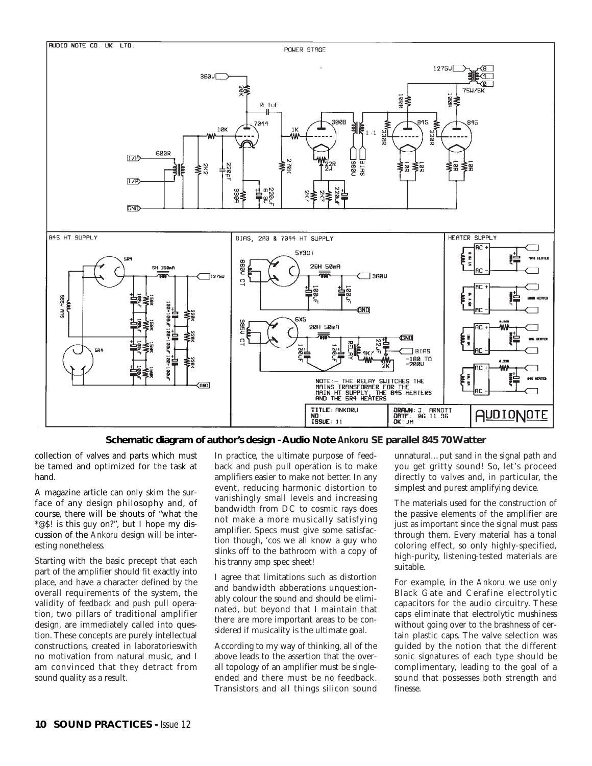

## **Schematic diagram of author's design - Audio Note** *Ankoru* **SE parallel 845 70 Watter**

ISSUE: 11

collection of valves and parts which must be tamed and optimized for the task at hand.

A magazine article can only skim the surface of any design philosophy and, of course, there will be shouts of "what the \*@\$! is this guy on?", but I hope my discussion of the *Ankoru* design will be interesting nonetheless.

Starting with the basic precept that each part of the amplifier should fit exactly into place, and have a character defined by the overall requirements of the system, the validity of *feedback* and *push pull* operation, two pillars of traditional amplifier design, are immediately called into question. These concepts are purely intellectual constructions, created in laboratorieswith no motivation from natural music, and I am convinced that they detract from sound quality as a result.

In practice, the ultimate purpose of feedback and push pull operation is to make amplifiers easier to make not better. In any event, reducing harmonic distortion to vanishingly small levels and increasing bandwidth from DC to cosmic rays does not make a more musically satisfying amplifier. Specs must give some satisfaction though, 'cos we all know a guy who slinks off to the bathroom with a copy of his tranny amp spec sheet!

I agree that limitations such as distortion and bandwidth abberations unquestionably colour the sound and should be eliminated, but beyond that I maintain that there are more important areas to be considered if musicality is the ultimate goal.

According to my way of thinking, all of the above leads to the assertion that the overall topology of an amplifier must be singleended and there must be *no* feedback. Transistors and all things silicon sound unnatural…put sand in the signal path and you get gritty sound! So, let's proceed directly to *valves* and, in particular, the simplest and purest amplifying device.

The materials used for the construction of the passive elements of the amplifier are just as important since the signal must pass through them. Every material has a tonal coloring effect, so only highly-specified, high-purity, listening-tested materials are suitable.

For example, in the *Ankoru* we use only Black Gate and Cerafine electrolytic capacitors for the audio circuitry. These caps eliminate that electrolytic mushiness without going over to the brashness of certain plastic caps. The valve selection was guided by the notion that the different sonic signatures of each type should be complimentary, leading to the goal of a sound that possesses both strength and finesse.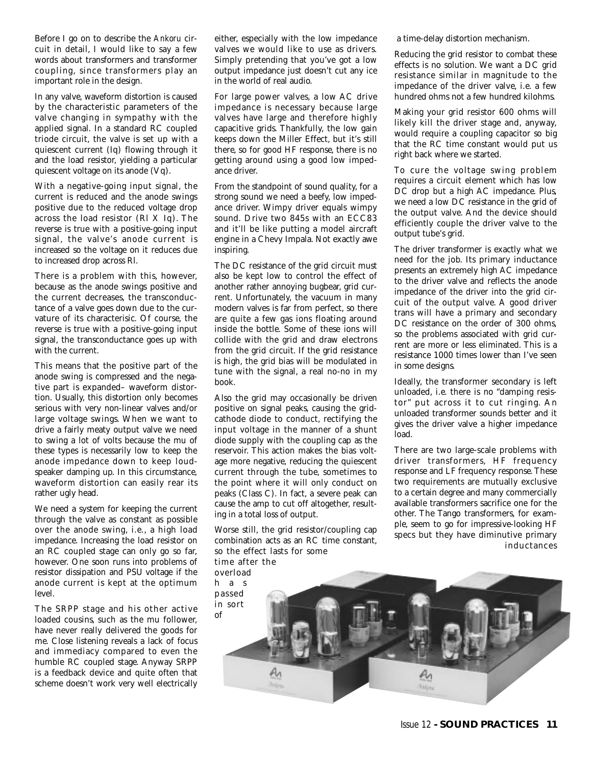Before I go on to describe the *Ankoru* circuit in detail, I would like to say a few words about transformers and transformer coupling, since transformers play an important role in the design.

In any valve, waveform distortion is caused by the characteristic parameters of the valve changing in sympathy with the applied signal. In a standard RC coupled triode circuit, the valve is set up with a quiescent current (Iq) flowing through it and the load resistor, yielding a particular quiescent voltage on its anode (Vq).

With a negative-going input signal, the current is reduced and the anode swings positive due to the reduced voltage drop across the load resistor (Rl X Iq). The reverse is true with a positive-going input signal, the valve's anode current is increased so the voltage on it reduces due to increased drop across Rl.

There is a problem with this, however, because as the anode swings positive and the current decreases, the transconductance of a valve goes down due to the curvature of its characterisic. Of course, the reverse is true with a positive-going input signal, the transconductance goes up with with the current.

This means that the positive part of the anode swing is compressed and the negative part is expanded– waveform distortion. Usually, this distortion only becomes serious with very non-linear valves and/or large voltage swings. When we want to drive a fairly meaty output valve we need to swing a lot of volts because the mu of these types is necessarily low to keep the anode impedance down to keep loudspeaker damping up. In this circumstance, waveform distortion can easily rear its rather ugly head.

We need a system for keeping the current through the valve as constant as possible over the anode swing, i.e., a high load impedance. Increasing the load resistor on an RC coupled stage can only go so far, however. One soon runs into problems of resistor dissipation and PSU voltage if the anode current is kept at the optimum level.

The SRPP stage and his other active loaded cousins, such as the mu follower, have never really delivered the goods for me. Close listening reveals a lack of focus and immediacy compared to even the humble RC coupled stage. Anyway SRPP is a feedback device and quite often that scheme doesn't work very well electrically

either, especially with the low impedance valves we would like to use as drivers. Simply pretending that you've got a low output impedance just doesn't cut any ice in the world of real audio.

For large power valves, a low AC drive impedance is necessary because large valves have large and therefore highly capacitive grids. Thankfully, the low gain keeps down the Miller Effect, but it's still there, so for good HF response, there is no getting around using a good low impedance driver.

From the standpoint of sound quality, for a strong sound we need a beefy, low impedance driver. Wimpy driver equals wimpy sound. Drive two 845s with an ECC83 and it'll be like putting a model aircraft engine in a Chevy Impala. Not exactly awe inspiring.

The DC resistance of the grid circuit must also be kept low to control the effect of another rather annoying bugbear, grid current. Unfortunately, the vacuum in many modern valves is far from perfect, so there are quite a few gas ions floating around inside the bottle. Some of these ions will collide with the grid and draw electrons from the grid circuit. If the grid resistance is high, the grid bias will be modulated in tune with the signal, a real no-no in my book.

Also the grid may occasionally be driven positive on signal peaks, causing the gridcathode diode to conduct, rectifying the input voltage in the manner of a shunt diode supply with the coupling cap as the reservoir. This action makes the bias voltage more negative, reducing the quiescent current through the tube, sometimes to the point where it will only conduct on peaks (Class C). In fact, a severe peak can cause the amp to cut off altogether, resulting in a total loss of output.

Worse still, the grid resistor/coupling cap combination acts as an RC time constant, so the effect lasts for some

time after the overload

a time-delay distortion mechanism.

Reducing the grid resistor to combat these effects is no solution. We want a DC grid resistance similar in magnitude to the impedance of the driver valve, i.e. a few hundred ohms not a few hundred kilohms.

Making your grid resistor 600 ohms will likely kill the driver stage and, anyway, would require a coupling capacitor so big that the RC time constant would put us right back where we started.

To cure the voltage swing problem requires a circuit element which has low DC drop but a high AC impedance. Plus, we need a low DC resistance in the grid of the output valve. And the device should efficiently couple the driver valve to the output tube's grid.

The driver transformer is exactly what we need for the job. Its primary inductance presents an extremely high AC impedance to the driver valve and reflects the anode impedance of the driver into the grid circuit of the output valve. A good driver trans will have a primary and secondary DC resistance on the order of 300 ohms, so the problems associated with grid current are more or less eliminated. This is a resistance 1000 times lower than I've seen in some designs.

Ideally, the transformer secondary is left unloaded, i.e. there is no "damping resistor" put across it to cut ringing. An unloaded transformer sounds better and it gives the driver valve a higher impedance load.

There are two large-scale problems with driver transformers, HF frequency response and LF frequency response. These two requirements are mutually exclusive to a certain degree and many commercially available transformers sacrifice one for the other. The Tango transformers, for example, seem to go for impressive-looking HF specs but they have diminutive primary inductances

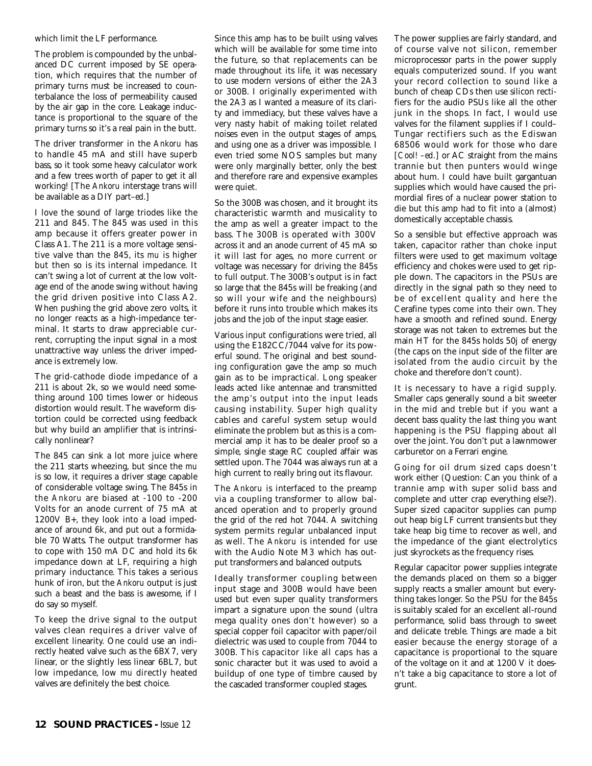which limit the LF performance.

The problem is compounded by the unbalanced DC current imposed by SE operation, which requires that the number of primary turns must be increased to counterbalance the loss of permeability caused by the air gap in the core. Leakage inductance is proportional to the square of the primary turns so it's a real pain in the butt.

The driver transformer in the *Ankoru* has to handle 45 mA and still have superb bass, so it took some heavy calculator work and a few trees worth of paper to get it all working! [The *Ankoru* interstage trans will be available as a DIY part–*ed*.]

I love the sound of large triodes like the 211 and 845. The 845 was used in this amp because it offers greater power in Class A1. The 211 is a more voltage sensitive valve than the 845, its *mu* is higher but then so is its internal impedance. It can't swing a lot of current at the low voltage end of the anode swing without having the grid driven positive into Class A2. When pushing the grid above zero volts, it no longer reacts as a high-impedance terminal. It starts to draw appreciable current, corrupting the input signal in a most unattractive way unless the driver impedance is extremely low.

The grid-cathode diode impedance of a 211 is about 2k, so we would need something around 100 times lower or hideous distortion would result. The waveform distortion could be corrected using feedback but why build an amplifier that is intrinsically nonlinear?

The 845 can sink a lot more juice where the 211 starts wheezing, but since the *mu* is so low, it requires a driver stage capable of considerable voltage swing. The 845s in the *Ankoru* are biased at -100 to -200 Volts for an anode current of 75 mA at 1200V B+, they look into a load impedance of around 6k, and put out a formidable 70 Watts. The output transformer has to cope with 150 mA DC and hold its 6k impedance down at LF, requiring a high primary inductance. This takes a serious hunk of iron, but the *Ankoru* output is just such a beast and the bass is awesome, if I do say so myself.

To keep the drive signal to the output valves clean requires a driver valve of excellent linearity. One could use an indirectly heated valve such as the 6BX7, very linear, or the slightly less linear 6BL7, but low impedance, low *mu* directly heated valves are definitely the best choice.

Since this amp has to be built using valves which will be available for some time into the future, so that replacements can be made throughout its life, it was necessary to use modern versions of either the 2A3 or 300B. I originally experimented with the 2A3 as I wanted a measure of its clarity and immediacy, but these valves have a very nasty habit of making toilet related noises even in the output stages of amps, and using one as a driver was impossible. I even tried some NOS samples but many were only marginally better, only the best and therefore rare and expensive examples were quiet.

So the 300B was chosen, and it brought its characteristic warmth and musicality to the amp as well a greater impact to the bass. The 300B is operated with 300V across it and an anode current of 45 mA so it will last for ages, no more current or voltage was necessary for driving the 845s to full output. The 300B's output is in fact so large that the 845s will be freaking (and so will your wife and the neighbours) before it runs into trouble which makes its jobs and the job of the input stage easier.

Various input configurations were tried, all using the E182CC/7044 valve for its powerful sound. The original and best sounding configuration gave the amp so much gain as to be impractical. Long speaker leads acted like antennae and transmitted the amp's output into the input leads causing instability. Super high quality cables and careful system setup would eliminate the problem but as this is a commercial amp it has to be dealer proof so a simple, single stage RC coupled affair was settled upon. The 7044 was always run at a high current to really bring out its flavour.

The *Ankoru* is interfaced to the preamp via a coupling transformer to allow balanced operation and to properly ground the grid of the red hot 7044. A switching system permits regular unbalanced input as well. The *Ankoru* is intended for use with the Audio Note M3 which has output transformers and balanced outputs.

Ideally transformer coupling between input stage and 300B would have been used but even super quality transformers impart a signature upon the sound (ultra mega quality ones don't however) so a special copper foil capacitor with paper/oil dielectric was used to couple from 7044 to 300B. This capacitor like all caps has a sonic character but it was used to avoid a buildup of one type of timbre caused by the cascaded transformer coupled stages.

The power supplies are fairly standard, and of course valve not silicon, remember microprocessor parts in the power supply equals computerized sound. If you want your record collection to sound like a bunch of cheap CDs then use silicon rectifiers for the audio PSUs like all the other junk in the shops. In fact, I would use valves for the filament supplies if I could– Tungar rectifiers such as the Ediswan 68506 would work for those who dare [*Cool! –ed.*] or AC straight from the mains trannie but then punters would winge about hum. I could have built gargantuan supplies which would have caused the primordial fires of a nuclear power station to die but this amp had to fit into a (almost) domestically acceptable chassis.

So a sensible but effective approach was taken, capacitor rather than choke input filters were used to get maximum voltage efficiency and chokes were used to get ripple down. The capacitors in the PSUs are directly in the signal path so they need to be of excellent quality and here the Cerafine types come into their own. They have a smooth and refined sound. Energy storage was not taken to extremes but the main HT for the 845s holds 50j of energy (the caps on the input side of the filter are isolated from the audio circuit by the choke and therefore don't count).

It is necessary to have a rigid supply. Smaller caps generally sound a bit sweeter in the mid and treble but if you want a decent bass quality the last thing you want happening is the PSU flapping about all over the joint. You don't put a lawnmower carburetor on a Ferrari engine.

Going for oil drum sized caps doesn't work either (Question: Can you think of a trannie amp with super solid bass and complete and utter crap everything else?). Super sized capacitor supplies can pump out heap big LF current transients but they take heap big time to recover as well, and the impedance of the giant electrolytics just skyrockets as the frequency rises.

Regular capacitor power supplies integrate the demands placed on them so a bigger supply reacts a smaller amount but everything takes longer. So the PSU for the 845s is suitably scaled for an excellent all-round performance, solid bass through to sweet and delicate treble. Things are made a bit easier because the energy storage of a capacitance is proportional to the square of the voltage on it and at 1200 V it doesn't take a big capacitance to store a lot of grunt.